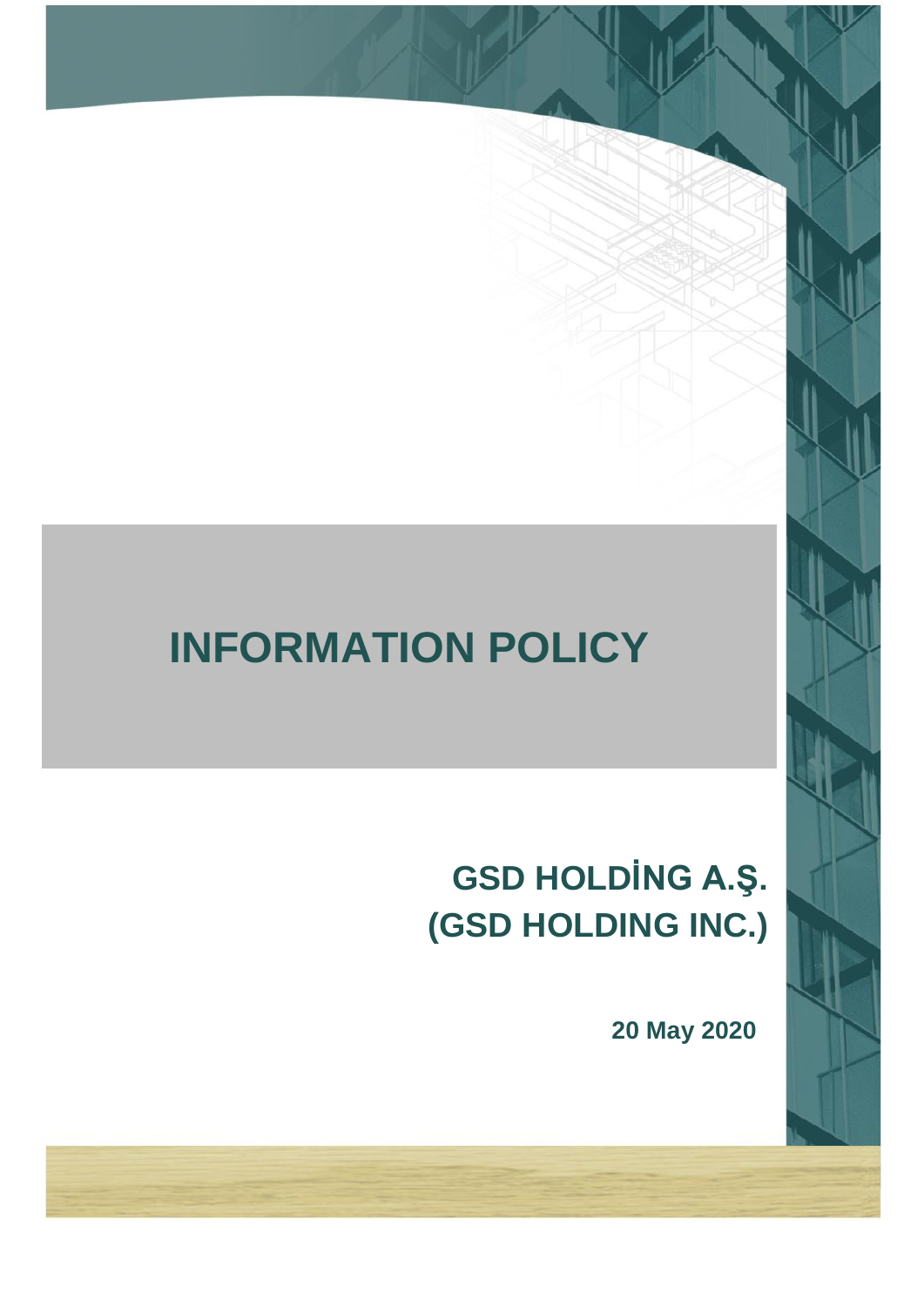# **INFORMATION POLICY**

# **GSD HOLDİNG A.Ş. (GSD HOLDING INC.)**

**20 May 2020**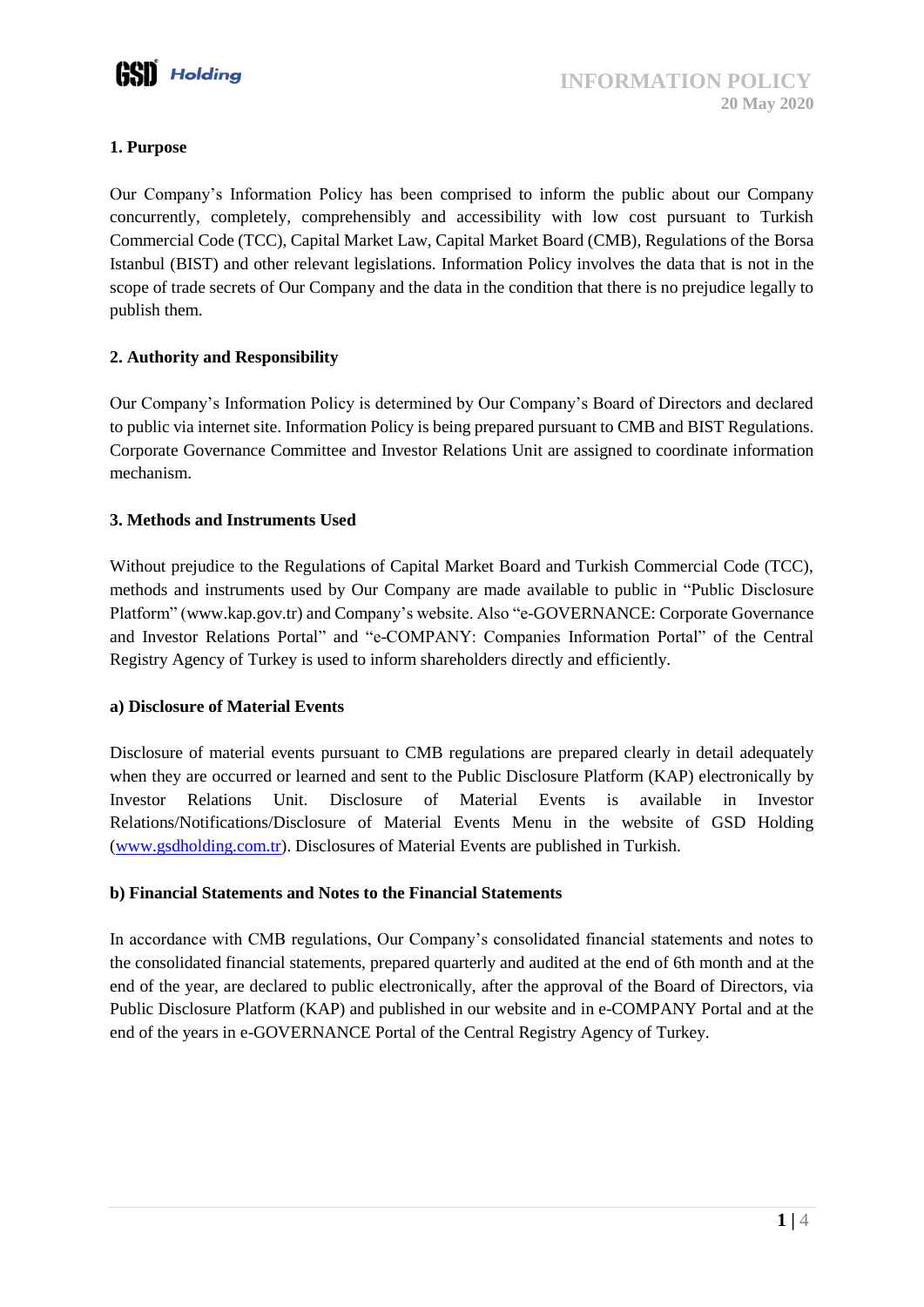

# **1. Purpose**

Our Company's Information Policy has been comprised to inform the public about our Company concurrently, completely, comprehensibly and accessibility with low cost pursuant to Turkish Commercial Code (TCC), Capital Market Law, Capital Market Board (CMB), Regulations of the Borsa Istanbul (BIST) and other relevant legislations. Information Policy involves the data that is not in the scope of trade secrets of Our Company and the data in the condition that there is no prejudice legally to publish them.

# **2. Authority and Responsibility**

Our Company's Information Policy is determined by Our Company's Board of Directors and declared to public via internet site. Information Policy is being prepared pursuant to CMB and BIST Regulations. Corporate Governance Committee and Investor Relations Unit are assigned to coordinate information mechanism.

# **3. Methods and Instruments Used**

Without prejudice to the Regulations of Capital Market Board and Turkish Commercial Code (TCC), methods and instruments used by Our Company are made available to public in "Public Disclosure Platform" [\(www.kap.gov.tr\)](http://www.kap.gov.tr/) and Company's website. Also "e-GOVERNANCE: Corporate Governance and Investor Relations Portal" and "e-COMPANY: Companies Information Portal" of the Central Registry Agency of Turkey is used to inform shareholders directly and efficiently.

# **a) Disclosure of Material Events**

Disclosure of material events pursuant to CMB regulations are prepared clearly in detail adequately when they are occurred or learned and sent to the Public Disclosure Platform (KAP) electronically by Investor Relations Unit. Disclosure of Material Events is available in Investor Relations/Notifications/Disclosure of Material Events Menu in the website of GSD Holding [\(www.gsdholding.com.tr\)](http://www.gsdholding.com.tr/). Disclosures of Material Events are published in Turkish.

# **b) Financial Statements and Notes to the Financial Statements**

In accordance with CMB regulations, Our Company's consolidated financial statements and notes to the consolidated financial statements, prepared quarterly and audited at the end of 6th month and at the end of the year, are declared to public electronically, after the approval of the Board of Directors, via Public Disclosure Platform (KAP) and published in our website and in e-COMPANY Portal and at the end of the years in e-GOVERNANCE Portal of the Central Registry Agency of Turkey.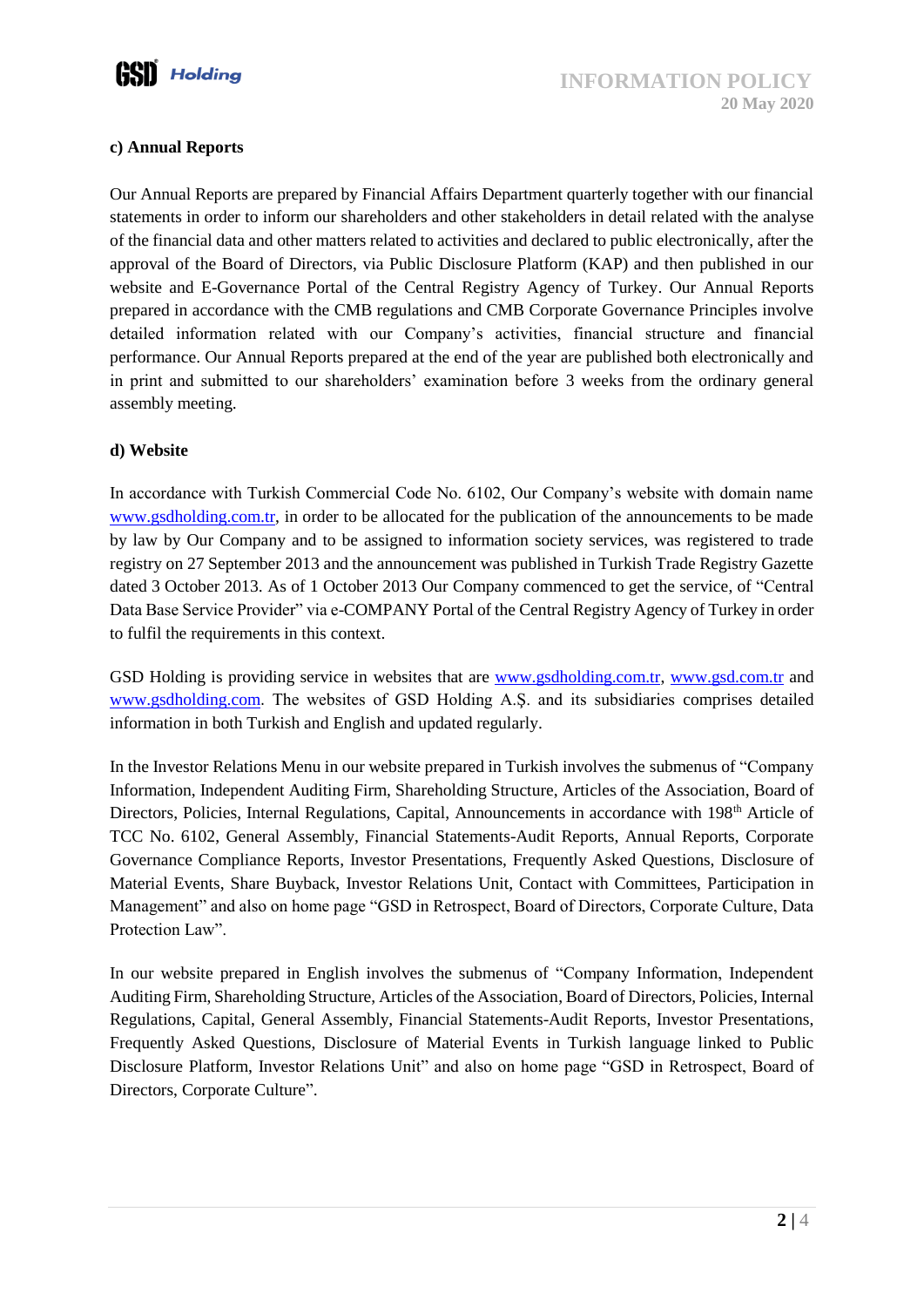

#### **c) Annual Reports**

Our Annual Reports are prepared by Financial Affairs Department quarterly together with our financial statements in order to inform our shareholders and other stakeholders in detail related with the analyse of the financial data and other matters related to activities and declared to public electronically, after the approval of the Board of Directors, via Public Disclosure Platform (KAP) and then published in our website and E-Governance Portal of the Central Registry Agency of Turkey. Our Annual Reports prepared in accordance with the CMB regulations and CMB Corporate Governance Principles involve detailed information related with our Company's activities, financial structure and financial performance. Our Annual Reports prepared at the end of the year are published both electronically and in print and submitted to our shareholders' examination before 3 weeks from the ordinary general assembly meeting.

#### **d) Website**

In accordance with Turkish Commercial Code No. 6102, Our Company's website with domain name [www.gsdholding.com.tr,](http://www.gsdholding.com.tr/) in order to be allocated for the publication of the announcements to be made by law by Our Company and to be assigned to information society services, was registered to trade registry on 27 September 2013 and the announcement was published in Turkish Trade Registry Gazette dated 3 October 2013. As of 1 October 2013 Our Company commenced to get the service, of "Central Data Base Service Provider" via e-COMPANY Portal of the Central Registry Agency of Turkey in order to fulfil the requirements in this context.

GSD Holding is providing service in websites that are [www.gsdholding.com.tr,](http://www.gsdholding.com.tr/) [www.gsd.com.tr](http://www.gsd.com.tr/) and [www.gsdholding.com](http://www.gsdholding.com/). The websites of GSD Holding A.Ş. and its subsidiaries comprises detailed information in both Turkish and English and updated regularly.

In the Investor Relations Menu in our website prepared in Turkish involves the submenus of "Company Information, Independent Auditing Firm, Shareholding Structure, Articles of the Association, Board of Directors, Policies, Internal Regulations, Capital, Announcements in accordance with 198<sup>th</sup> Article of TCC No. 6102, General Assembly, Financial Statements-Audit Reports, Annual Reports, Corporate Governance Compliance Reports, Investor Presentations, Frequently Asked Questions, Disclosure of Material Events, Share Buyback, Investor Relations Unit, Contact with Committees, Participation in Management" and also on home page "GSD in Retrospect, Board of Directors, Corporate Culture, Data Protection Law".

In our website prepared in English involves the submenus of "Company Information, Independent Auditing Firm, Shareholding Structure, Articles of the Association, Board of Directors, Policies, Internal Regulations, Capital, General Assembly, Financial Statements-Audit Reports, Investor Presentations, Frequently Asked Questions, Disclosure of Material Events in Turkish language linked to Public Disclosure Platform, Investor Relations Unit" and also on home page "GSD in Retrospect, Board of Directors, Corporate Culture".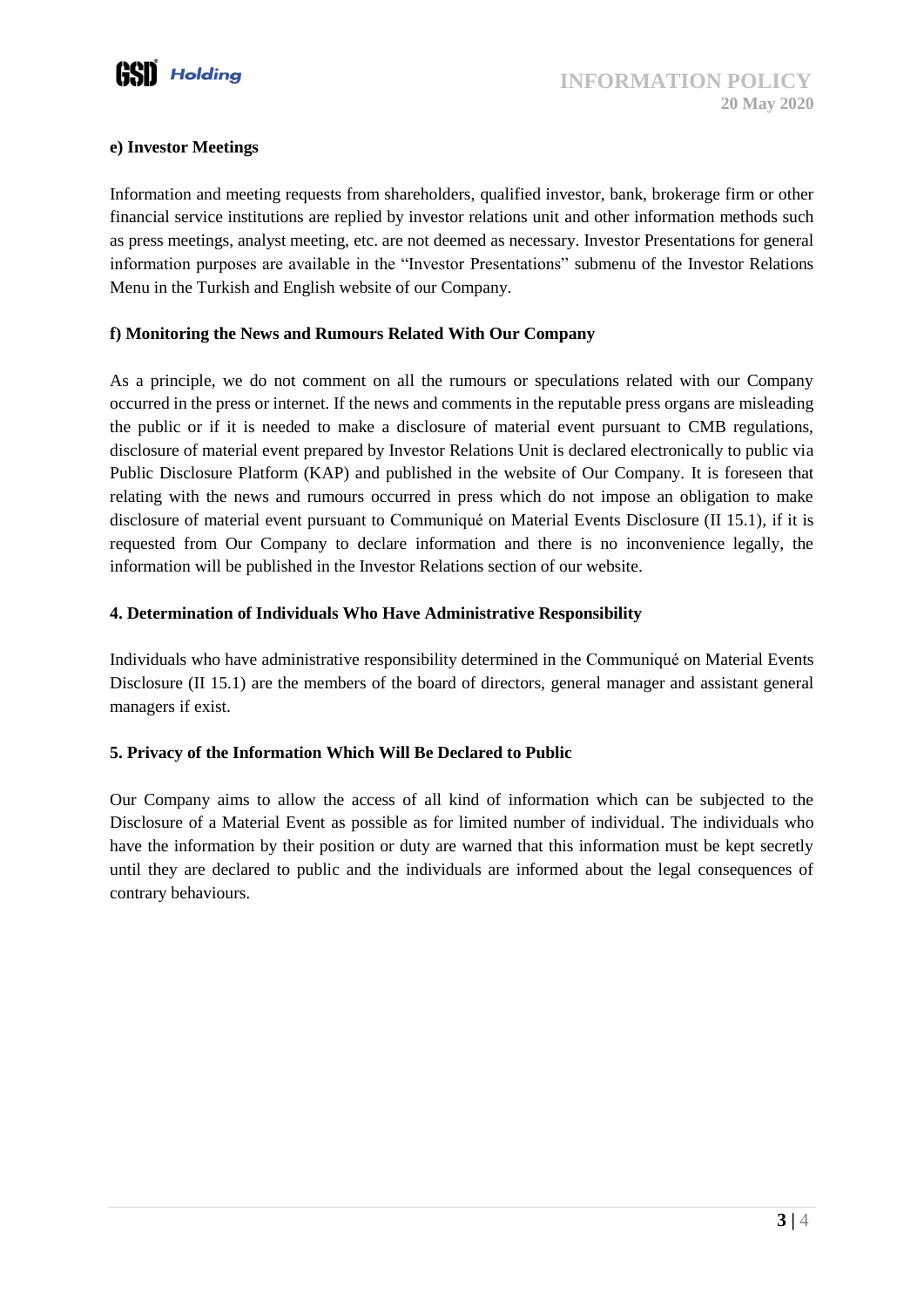

#### **e) Investor Meetings**

Information and meeting requests from shareholders, qualified investor, bank, brokerage firm or other financial service institutions are replied by investor relations unit and other information methods such as press meetings, analyst meeting, etc. are not deemed as necessary. Investor Presentations for general information purposes are available in the "Investor Presentations" submenu of the Investor Relations Menu in the Turkish and English website of our Company.

#### **f) Monitoring the News and Rumours Related With Our Company**

As a principle, we do not comment on all the rumours or speculations related with our Company occurred in the press or internet. If the news and comments in the reputable press organs are misleading the public or if it is needed to make a disclosure of material event pursuant to CMB regulations, disclosure of material event prepared by Investor Relations Unit is declared electronically to public via Public Disclosure Platform (KAP) and published in the website of Our Company. It is foreseen that relating with the news and rumours occurred in press which do not impose an obligation to make disclosure of material event pursuant to Communiqué on Material Events Disclosure (II 15.1), if it is requested from Our Company to declare information and there is no inconvenience legally, the information will be published in the Investor Relations section of our website.

# **4. Determination of Individuals Who Have Administrative Responsibility**

Individuals who have administrative responsibility determined in the Communiqué on Material Events Disclosure (II 15.1) are the members of the board of directors, general manager and assistant general managers if exist.

# **5. Privacy of the Information Which Will Be Declared to Public**

Our Company aims to allow the access of all kind of information which can be subjected to the Disclosure of a Material Event as possible as for limited number of individual. The individuals who have the information by their position or duty are warned that this information must be kept secretly until they are declared to public and the individuals are informed about the legal consequences of contrary behaviours.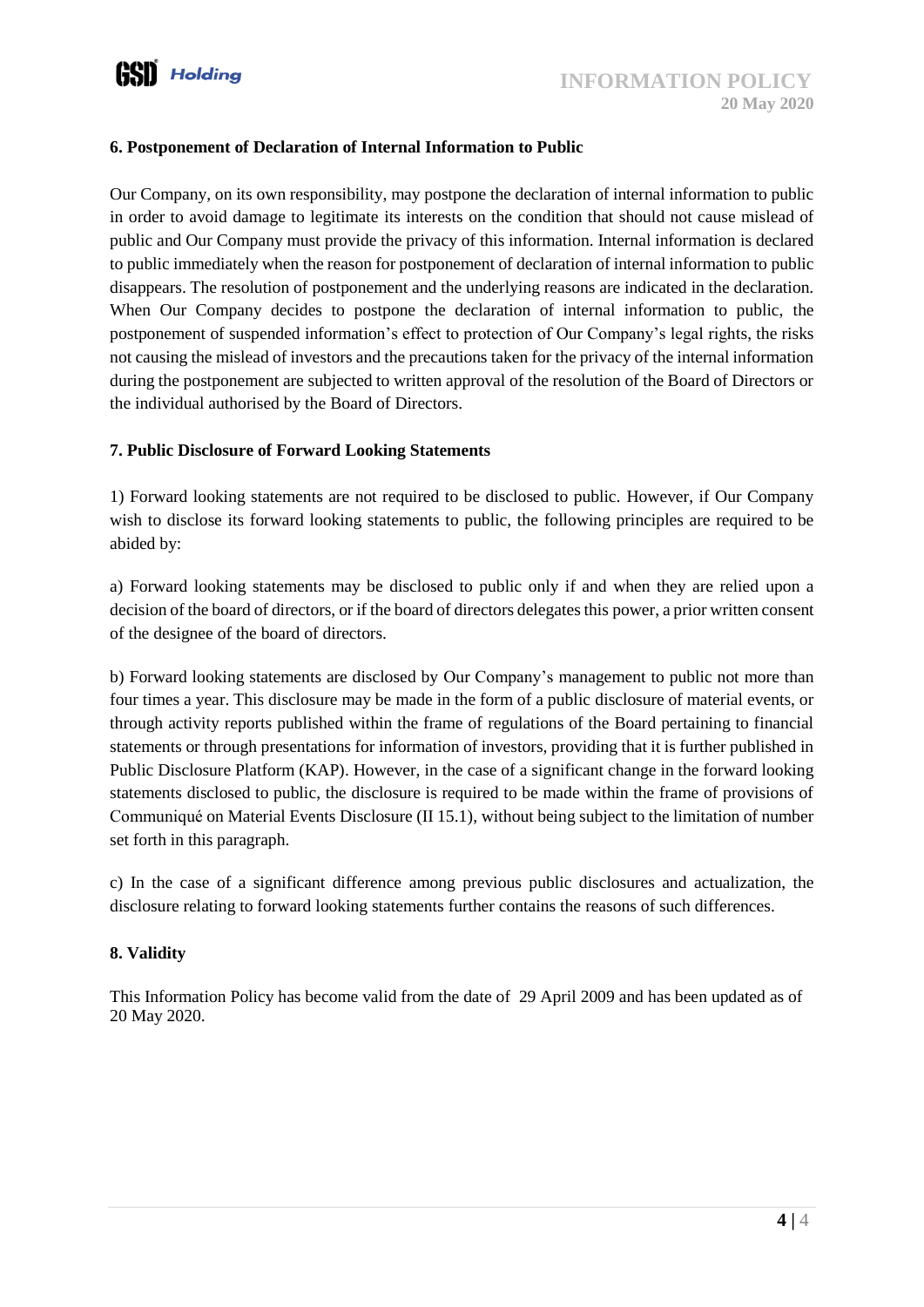#### **6. Postponement of Declaration of Internal Information to Public**

Our Company, on its own responsibility, may postpone the declaration of internal information to public in order to avoid damage to legitimate its interests on the condition that should not cause mislead of public and Our Company must provide the privacy of this information. Internal information is declared to public immediately when the reason for postponement of declaration of internal information to public disappears. The resolution of postponement and the underlying reasons are indicated in the declaration. When Our Company decides to postpone the declaration of internal information to public, the postponement of suspended information's effect to protection of Our Company's legal rights, the risks not causing the mislead of investors and the precautions taken for the privacy of the internal information during the postponement are subjected to written approval of the resolution of the Board of Directors or the individual authorised by the Board of Directors.

#### **7. Public Disclosure of Forward Looking Statements**

1) Forward looking statements are not required to be disclosed to public. However, if Our Company wish to disclose its forward looking statements to public, the following principles are required to be abided by:

a) Forward looking statements may be disclosed to public only if and when they are relied upon a decision of the board of directors, or if the board of directors delegates this power, a prior written consent of the designee of the board of directors.

b) Forward looking statements are disclosed by Our Company's management to public not more than four times a year. This disclosure may be made in the form of a public disclosure of material events, or through activity reports published within the frame of regulations of the Board pertaining to financial statements or through presentations for information of investors, providing that it is further published in Public Disclosure Platform (KAP). However, in the case of a significant change in the forward looking statements disclosed to public, the disclosure is required to be made within the frame of provisions of Communiqué on Material Events Disclosure (II 15.1), without being subject to the limitation of number set forth in this paragraph.

c) In the case of a significant difference among previous public disclosures and actualization, the disclosure relating to forward looking statements further contains the reasons of such differences.

#### **8. Validity**

This Information Policy has become valid from the date of 29 April 2009 and has been updated as of 20 May 2020.